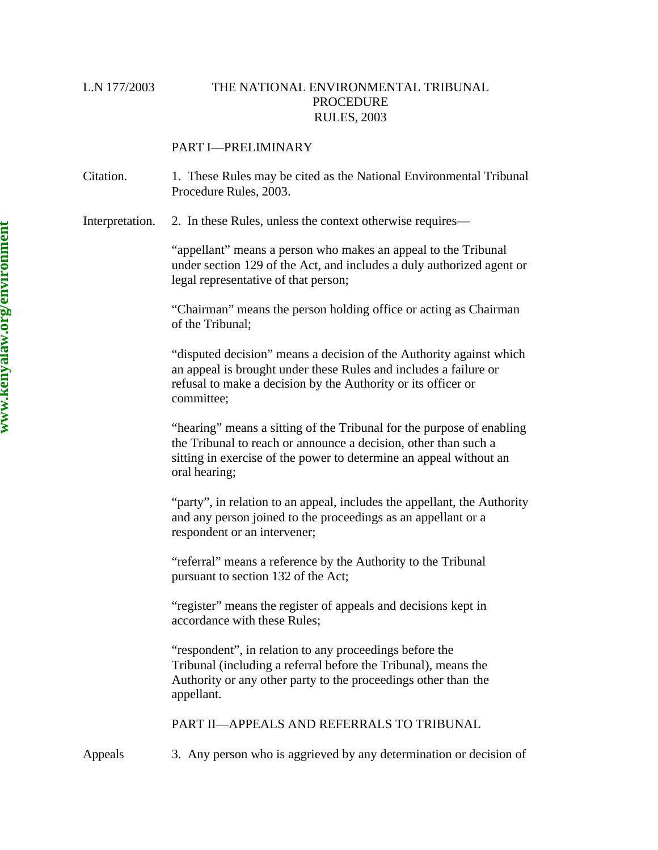# L.N 177/2003 THE NATIONAL ENVIRONMENTAL TRIBUNAL **PROCEDURE** RULES, 2003

# PART I—PRELIMINARY

Citation. 1. These Rules may be cited as the National Environmental Tribunal Procedure Rules, 2003.

Interpretation. 2. In these Rules, unless the context otherwise requires—

"appellant" means a person who makes an appeal to the Tribunal under section 129 of the Act, and includes a duly authorized agent or legal representative of that person;

"Chairman" means the person holding office or acting as Chairman of the Tribunal;

"disputed decision" means a decision of the Authority against which an appeal is brought under these Rules and includes a failure or refusal to make a decision by the Authority or its officer or committee;

"hearing" means a sitting of the Tribunal for the purpose of enabling the Tribunal to reach or announce a decision, other than such a sitting in exercise of the power to determine an appeal without an oral hearing;

"party", in relation to an appeal, includes the appellant, the Authority and any person joined to the proceedings as an appellant or a respondent or an intervener;

"referral" means a reference by the Authority to the Tribunal pursuant to section 132 of the Act;

"register" means the register of appeals and decisions kept in accordance with these Rules;

"respondent", in relation to any proceedings before the Tribunal (including a referral before the Tribunal), means the Authority or any other party to the proceedings other than the appellant.

### PART II—APPEALS AND REFERRALS TO TRIBUNAL

Appeals 3. Any person who is aggrieved by any determination or decision of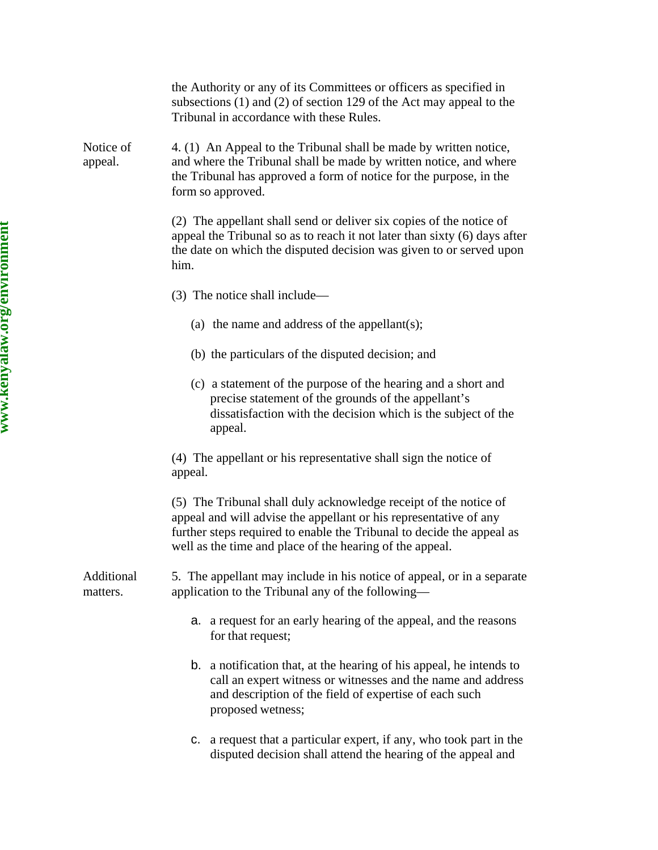|                        | the Authority or any of its Committees or officers as specified in<br>subsections $(1)$ and $(2)$ of section 129 of the Act may appeal to the<br>Tribunal in accordance with these Rules.                                                                                  |
|------------------------|----------------------------------------------------------------------------------------------------------------------------------------------------------------------------------------------------------------------------------------------------------------------------|
| Notice of<br>appeal.   | 4. (1) An Appeal to the Tribunal shall be made by written notice,<br>and where the Tribunal shall be made by written notice, and where<br>the Tribunal has approved a form of notice for the purpose, in the<br>form so approved.                                          |
|                        | (2) The appellant shall send or deliver six copies of the notice of<br>appeal the Tribunal so as to reach it not later than sixty (6) days after<br>the date on which the disputed decision was given to or served upon<br>him.                                            |
|                        | (3) The notice shall include—                                                                                                                                                                                                                                              |
|                        | (a) the name and address of the appellant(s);                                                                                                                                                                                                                              |
|                        | (b) the particulars of the disputed decision; and                                                                                                                                                                                                                          |
|                        | (c) a statement of the purpose of the hearing and a short and<br>precise statement of the grounds of the appellant's<br>dissatisfaction with the decision which is the subject of the<br>appeal.                                                                           |
|                        | (4) The appellant or his representative shall sign the notice of<br>appeal.                                                                                                                                                                                                |
|                        | (5) The Tribunal shall duly acknowledge receipt of the notice of<br>appeal and will advise the appellant or his representative of any<br>further steps required to enable the Tribunal to decide the appeal as<br>well as the time and place of the hearing of the appeal. |
| Additional<br>matters. | 5. The appellant may include in his notice of appeal, or in a separate<br>application to the Tribunal any of the following-                                                                                                                                                |
|                        | a. a request for an early hearing of the appeal, and the reasons<br>for that request;                                                                                                                                                                                      |
|                        | b. a notification that, at the hearing of his appeal, he intends to<br>call an expert witness or witnesses and the name and address<br>and description of the field of expertise of each such<br>proposed wetness;                                                         |
|                        | c. a request that a particular expert, if any, who took part in the<br>disputed decision shall attend the hearing of the appeal and                                                                                                                                        |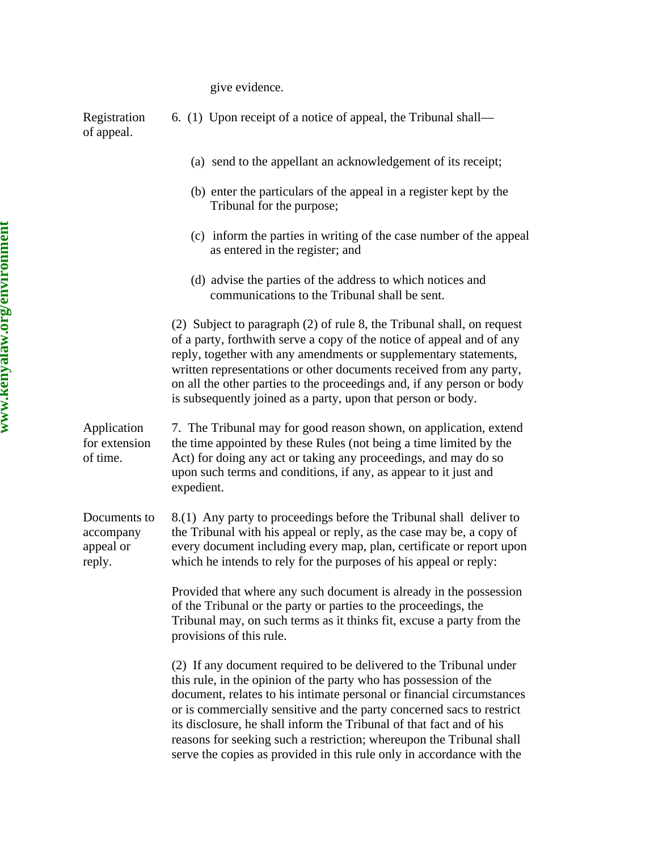give evidence.

| Registration<br>of appeal.                       | 6. (1) Upon receipt of a notice of appeal, the Tribunal shall—                                                                                                                                                                                                                                                                                                                                                                                                                                                    |
|--------------------------------------------------|-------------------------------------------------------------------------------------------------------------------------------------------------------------------------------------------------------------------------------------------------------------------------------------------------------------------------------------------------------------------------------------------------------------------------------------------------------------------------------------------------------------------|
|                                                  | (a) send to the appellant an acknowledgement of its receipt;                                                                                                                                                                                                                                                                                                                                                                                                                                                      |
|                                                  | (b) enter the particulars of the appeal in a register kept by the<br>Tribunal for the purpose;                                                                                                                                                                                                                                                                                                                                                                                                                    |
|                                                  | (c) inform the parties in writing of the case number of the appeal<br>as entered in the register; and                                                                                                                                                                                                                                                                                                                                                                                                             |
|                                                  | (d) advise the parties of the address to which notices and<br>communications to the Tribunal shall be sent.                                                                                                                                                                                                                                                                                                                                                                                                       |
|                                                  | (2) Subject to paragraph (2) of rule 8, the Tribunal shall, on request<br>of a party, forthwith serve a copy of the notice of appeal and of any<br>reply, together with any amendments or supplementary statements,<br>written representations or other documents received from any party,<br>on all the other parties to the proceedings and, if any person or body<br>is subsequently joined as a party, upon that person or body.                                                                              |
| Application<br>for extension<br>of time.         | 7. The Tribunal may for good reason shown, on application, extend<br>the time appointed by these Rules (not being a time limited by the<br>Act) for doing any act or taking any proceedings, and may do so<br>upon such terms and conditions, if any, as appear to it just and<br>expedient.                                                                                                                                                                                                                      |
| Documents to<br>accompany<br>appeal or<br>reply. | 8.(1) Any party to proceedings before the Tribunal shall deliver to<br>the Tribunal with his appeal or reply, as the case may be, a copy of<br>every document including every map, plan, certificate or report upon<br>which he intends to rely for the purposes of his appeal or reply:                                                                                                                                                                                                                          |
|                                                  | Provided that where any such document is already in the possession<br>of the Tribunal or the party or parties to the proceedings, the<br>Tribunal may, on such terms as it thinks fit, excuse a party from the<br>provisions of this rule.                                                                                                                                                                                                                                                                        |
|                                                  | (2) If any document required to be delivered to the Tribunal under<br>this rule, in the opinion of the party who has possession of the<br>document, relates to his intimate personal or financial circumstances<br>or is commercially sensitive and the party concerned sacs to restrict<br>its disclosure, he shall inform the Tribunal of that fact and of his<br>reasons for seeking such a restriction; whereupon the Tribunal shall<br>serve the copies as provided in this rule only in accordance with the |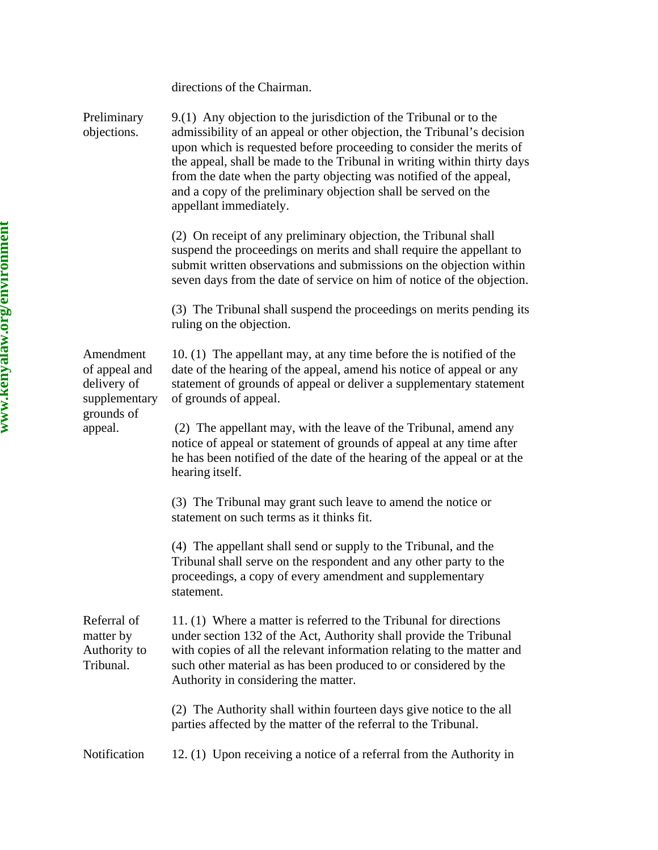|                                                                          | directions of the Chairman.                                                                                                                                                                                                                                                                                                                                                                                                                                     |
|--------------------------------------------------------------------------|-----------------------------------------------------------------------------------------------------------------------------------------------------------------------------------------------------------------------------------------------------------------------------------------------------------------------------------------------------------------------------------------------------------------------------------------------------------------|
| Preliminary<br>objections.                                               | 9.(1) Any objection to the jurisdiction of the Tribunal or to the<br>admissibility of an appeal or other objection, the Tribunal's decision<br>upon which is requested before proceeding to consider the merits of<br>the appeal, shall be made to the Tribunal in writing within thirty days<br>from the date when the party objecting was notified of the appeal,<br>and a copy of the preliminary objection shall be served on the<br>appellant immediately. |
|                                                                          | (2) On receipt of any preliminary objection, the Tribunal shall<br>suspend the proceedings on merits and shall require the appellant to<br>submit written observations and submissions on the objection within<br>seven days from the date of service on him of notice of the objection.                                                                                                                                                                        |
|                                                                          | (3) The Tribunal shall suspend the proceedings on merits pending its<br>ruling on the objection.                                                                                                                                                                                                                                                                                                                                                                |
| Amendment<br>of appeal and<br>delivery of<br>supplementary<br>grounds of | 10. (1) The appellant may, at any time before the is notified of the<br>date of the hearing of the appeal, amend his notice of appeal or any<br>statement of grounds of appeal or deliver a supplementary statement<br>of grounds of appeal.                                                                                                                                                                                                                    |
| appeal.                                                                  | (2) The appellant may, with the leave of the Tribunal, amend any<br>notice of appeal or statement of grounds of appeal at any time after<br>he has been notified of the date of the hearing of the appeal or at the<br>hearing itself.                                                                                                                                                                                                                          |
|                                                                          | (3) The Tribunal may grant such leave to amend the notice or<br>statement on such terms as it thinks fit.                                                                                                                                                                                                                                                                                                                                                       |
|                                                                          | (4) The appellant shall send or supply to the Tribunal, and the<br>Tribunal shall serve on the respondent and any other party to the<br>proceedings, a copy of every amendment and supplementary<br>statement.                                                                                                                                                                                                                                                  |
| Referral of<br>matter by<br>Authority to<br>Tribunal.                    | 11. (1) Where a matter is referred to the Tribunal for directions<br>under section 132 of the Act, Authority shall provide the Tribunal<br>with copies of all the relevant information relating to the matter and<br>such other material as has been produced to or considered by the<br>Authority in considering the matter.                                                                                                                                   |
|                                                                          | (2) The Authority shall within fourteen days give notice to the all<br>parties affected by the matter of the referral to the Tribunal.                                                                                                                                                                                                                                                                                                                          |
| Notification                                                             | 12. (1) Upon receiving a notice of a referral from the Authority in                                                                                                                                                                                                                                                                                                                                                                                             |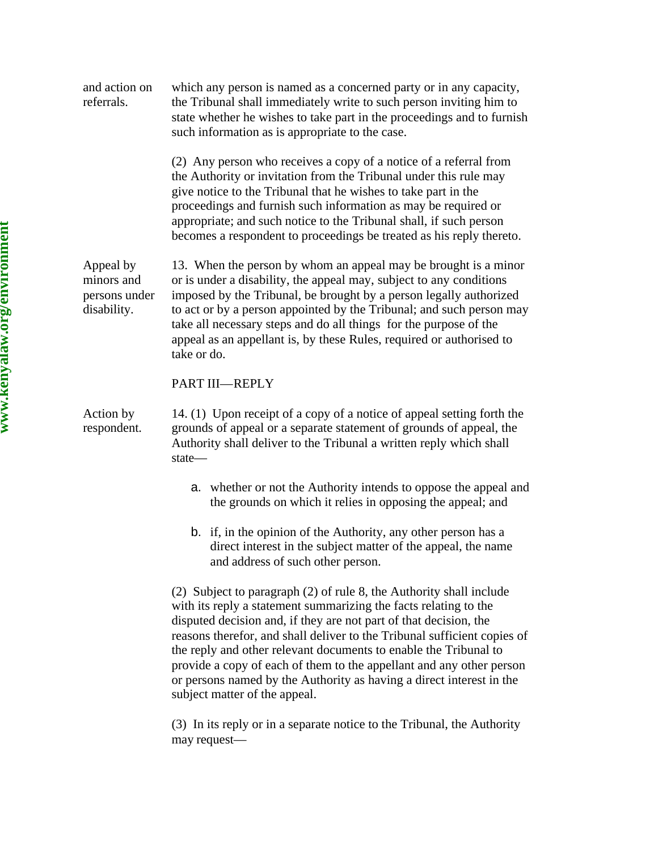| and action on<br>referrals.                             | which any person is named as a concerned party or in any capacity,<br>the Tribunal shall immediately write to such person inviting him to<br>state whether he wishes to take part in the proceedings and to furnish<br>such information as is appropriate to the case.                                                                                                                                                                                                                                                                        |
|---------------------------------------------------------|-----------------------------------------------------------------------------------------------------------------------------------------------------------------------------------------------------------------------------------------------------------------------------------------------------------------------------------------------------------------------------------------------------------------------------------------------------------------------------------------------------------------------------------------------|
|                                                         | (2) Any person who receives a copy of a notice of a referral from<br>the Authority or invitation from the Tribunal under this rule may<br>give notice to the Tribunal that he wishes to take part in the<br>proceedings and furnish such information as may be required or<br>appropriate; and such notice to the Tribunal shall, if such person<br>becomes a respondent to proceedings be treated as his reply thereto.                                                                                                                      |
| Appeal by<br>minors and<br>persons under<br>disability. | 13. When the person by whom an appeal may be brought is a minor<br>or is under a disability, the appeal may, subject to any conditions<br>imposed by the Tribunal, be brought by a person legally authorized<br>to act or by a person appointed by the Tribunal; and such person may<br>take all necessary steps and do all things for the purpose of the<br>appeal as an appellant is, by these Rules, required or authorised to<br>take or do.                                                                                              |
|                                                         | PART III-REPLY                                                                                                                                                                                                                                                                                                                                                                                                                                                                                                                                |
| Action by<br>respondent.                                | 14. (1) Upon receipt of a copy of a notice of appeal setting forth the<br>grounds of appeal or a separate statement of grounds of appeal, the<br>Authority shall deliver to the Tribunal a written reply which shall<br>state-                                                                                                                                                                                                                                                                                                                |
|                                                         | a. whether or not the Authority intends to oppose the appeal and<br>the grounds on which it relies in opposing the appeal; and                                                                                                                                                                                                                                                                                                                                                                                                                |
|                                                         | b. if, in the opinion of the Authority, any other person has a<br>direct interest in the subject matter of the appeal, the name<br>and address of such other person.                                                                                                                                                                                                                                                                                                                                                                          |
|                                                         | (2) Subject to paragraph (2) of rule 8, the Authority shall include<br>with its reply a statement summarizing the facts relating to the<br>disputed decision and, if they are not part of that decision, the<br>reasons therefor, and shall deliver to the Tribunal sufficient copies of<br>the reply and other relevant documents to enable the Tribunal to<br>provide a copy of each of them to the appellant and any other person<br>or persons named by the Authority as having a direct interest in the<br>subject matter of the appeal. |

(3) In its reply or in a separate notice to the Tribunal, the Authority may request—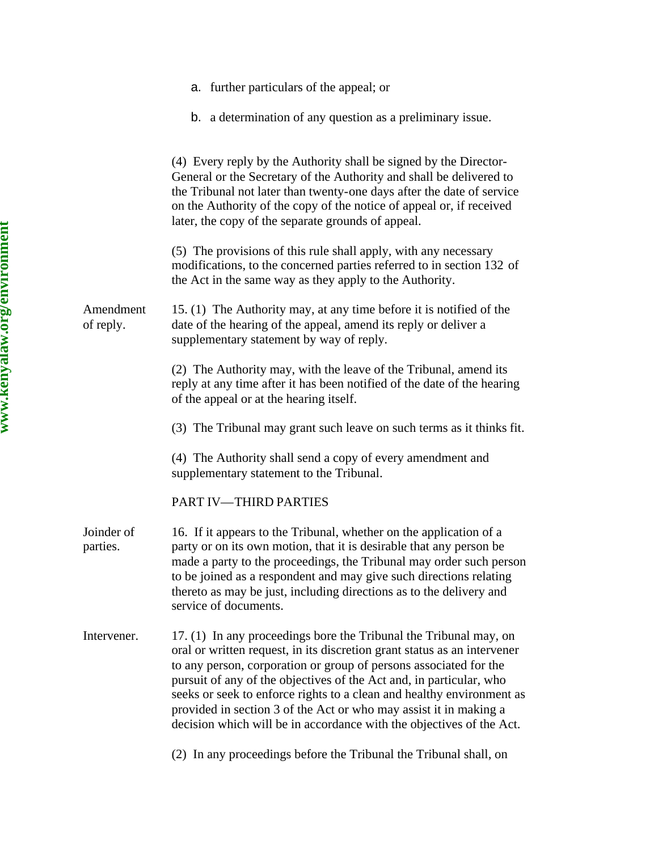|                        | a. further particulars of the appeal; or                                                                                                                                                                                                                                                                                                                                                                                                                                                                        |
|------------------------|-----------------------------------------------------------------------------------------------------------------------------------------------------------------------------------------------------------------------------------------------------------------------------------------------------------------------------------------------------------------------------------------------------------------------------------------------------------------------------------------------------------------|
|                        | b. a determination of any question as a preliminary issue.                                                                                                                                                                                                                                                                                                                                                                                                                                                      |
|                        | (4) Every reply by the Authority shall be signed by the Director-<br>General or the Secretary of the Authority and shall be delivered to<br>the Tribunal not later than twenty-one days after the date of service<br>on the Authority of the copy of the notice of appeal or, if received<br>later, the copy of the separate grounds of appeal.                                                                                                                                                                 |
|                        | (5) The provisions of this rule shall apply, with any necessary<br>modifications, to the concerned parties referred to in section 132 of<br>the Act in the same way as they apply to the Authority.                                                                                                                                                                                                                                                                                                             |
| Amendment<br>of reply. | 15. (1) The Authority may, at any time before it is notified of the<br>date of the hearing of the appeal, amend its reply or deliver a<br>supplementary statement by way of reply.                                                                                                                                                                                                                                                                                                                              |
|                        | (2) The Authority may, with the leave of the Tribunal, amend its<br>reply at any time after it has been notified of the date of the hearing<br>of the appeal or at the hearing itself.                                                                                                                                                                                                                                                                                                                          |
|                        | (3) The Tribunal may grant such leave on such terms as it thinks fit.                                                                                                                                                                                                                                                                                                                                                                                                                                           |
|                        | (4) The Authority shall send a copy of every amendment and<br>supplementary statement to the Tribunal.                                                                                                                                                                                                                                                                                                                                                                                                          |
|                        | PART IV-THIRD PARTIES                                                                                                                                                                                                                                                                                                                                                                                                                                                                                           |
| Joinder of<br>parties. | 16. If it appears to the Tribunal, whether on the application of a<br>party or on its own motion, that it is desirable that any person be<br>made a party to the proceedings, the Tribunal may order such person<br>to be joined as a respondent and may give such directions relating<br>thereto as may be just, including directions as to the delivery and<br>service of documents.                                                                                                                          |
| Intervener.            | 17. (1) In any proceedings bore the Tribunal the Tribunal may, on<br>oral or written request, in its discretion grant status as an intervener<br>to any person, corporation or group of persons associated for the<br>pursuit of any of the objectives of the Act and, in particular, who<br>seeks or seek to enforce rights to a clean and healthy environment as<br>provided in section 3 of the Act or who may assist it in making a<br>decision which will be in accordance with the objectives of the Act. |
|                        | (2) In any proceedings before the Tribunal the Tribunal shall, on                                                                                                                                                                                                                                                                                                                                                                                                                                               |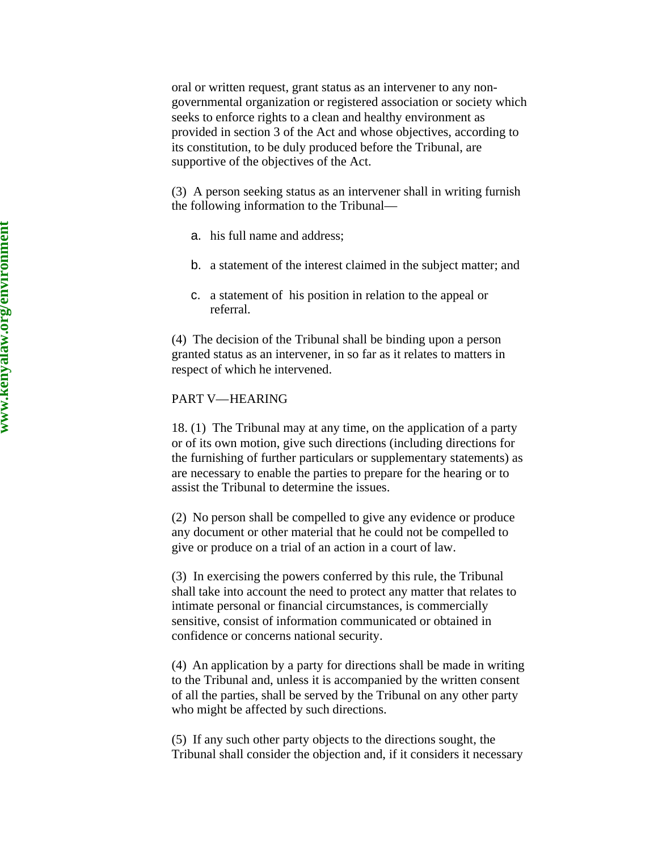oral or written request, grant status as an intervener to any non governmental organization or registered association or society which seeks to enforce rights to a clean and healthy environment as provided in section 3 of the Act and whose objectives, according to its constitution, to be duly produced before the Tribunal, are supportive of the objectives of the Act.

(3) A person seeking status as an intervener shall in writing furnish the following information to the Tribunal —

- a. his full name and address;
- b. a statement of the interest claimed in the subject matter; and
- c. a statement of his position in relation to the appeal or referral.

(4) The decision of the Tribunal shall be binding upon a person granted status as an intervener, in so far as it relates to matters in respect of which he intervened.

## PART V —HEARING

18. (1) The Tribunal may at any time, on the application of a party or of its own motion, give such directions (including directions for the furnishing of further particulars or supplementary statements) as are necessary to enable the parties to prepare for the hearing or to assist the Tribunal to determine the issues.

(2) No person shall be compelled to give any evidence or produce any document or other material that he could not be compelled to give or produce on a trial of an action in a court of law.

(3) In exercising the powers conferred by this rule, the Tribunal shall take into account the need to protect any matter that relates to intimate personal or financial circumstances, is commercially sensitive, consist of information communicated or obtained in confidence or concerns national security.

(4) An application by a party for directions shall be made in writing to the Tribunal and, unless it is accompanied by the written consent of all the parties, shall be served by the Tribunal on any other party who might be affected by such directions.

(5) If any such other party objects to the directions sought, the Tribunal shall consider the objection and, if it considers it necessary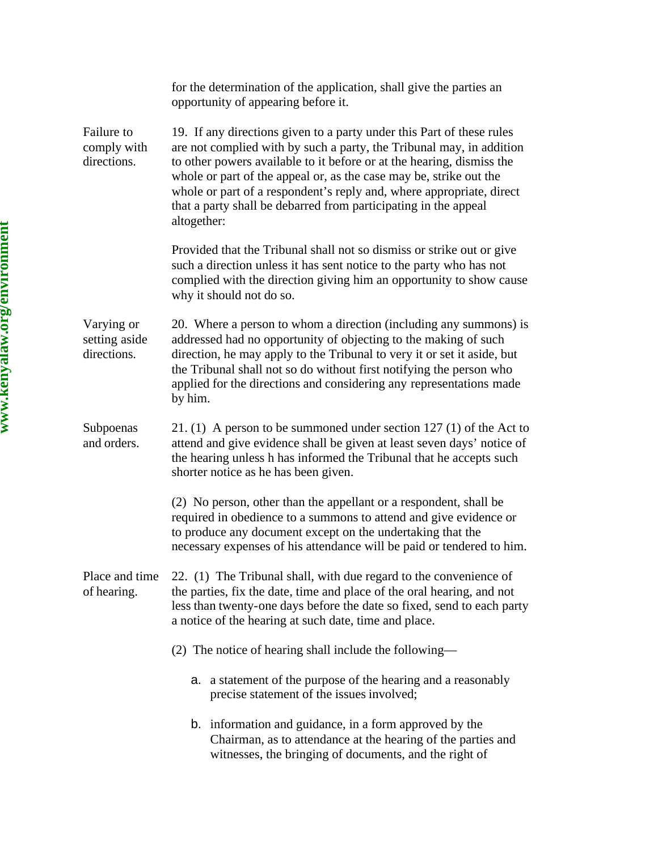|                                            | for the determination of the application, shall give the parties an<br>opportunity of appearing before it.                                                                                                                                                                                                                                                                                                                                             |
|--------------------------------------------|--------------------------------------------------------------------------------------------------------------------------------------------------------------------------------------------------------------------------------------------------------------------------------------------------------------------------------------------------------------------------------------------------------------------------------------------------------|
| Failure to<br>comply with<br>directions.   | 19. If any directions given to a party under this Part of these rules<br>are not complied with by such a party, the Tribunal may, in addition<br>to other powers available to it before or at the hearing, dismiss the<br>whole or part of the appeal or, as the case may be, strike out the<br>whole or part of a respondent's reply and, where appropriate, direct<br>that a party shall be debarred from participating in the appeal<br>altogether: |
|                                            | Provided that the Tribunal shall not so dismiss or strike out or give<br>such a direction unless it has sent notice to the party who has not<br>complied with the direction giving him an opportunity to show cause<br>why it should not do so.                                                                                                                                                                                                        |
| Varying or<br>setting aside<br>directions. | 20. Where a person to whom a direction (including any summons) is<br>addressed had no opportunity of objecting to the making of such<br>direction, he may apply to the Tribunal to very it or set it aside, but<br>the Tribunal shall not so do without first notifying the person who<br>applied for the directions and considering any representations made<br>by him.                                                                               |
| Subpoenas<br>and orders.                   | 21. (1) A person to be summoned under section $127$ (1) of the Act to<br>attend and give evidence shall be given at least seven days' notice of<br>the hearing unless h has informed the Tribunal that he accepts such<br>shorter notice as he has been given.                                                                                                                                                                                         |
|                                            | (2) No person, other than the appellant or a respondent, shall be<br>required in obedience to a summons to attend and give evidence or<br>to produce any document except on the undertaking that the<br>necessary expenses of his attendance will be paid or tendered to him.                                                                                                                                                                          |
| Place and time<br>of hearing.              | 22. (1) The Tribunal shall, with due regard to the convenience of<br>the parties, fix the date, time and place of the oral hearing, and not<br>less than twenty-one days before the date so fixed, send to each party<br>a notice of the hearing at such date, time and place.                                                                                                                                                                         |
|                                            | (2) The notice of hearing shall include the following—                                                                                                                                                                                                                                                                                                                                                                                                 |
|                                            | a. a statement of the purpose of the hearing and a reasonably<br>precise statement of the issues involved;                                                                                                                                                                                                                                                                                                                                             |
|                                            | b. information and guidance, in a form approved by the<br>Chairman, as to attendance at the hearing of the parties and<br>witnesses, the bringing of documents, and the right of                                                                                                                                                                                                                                                                       |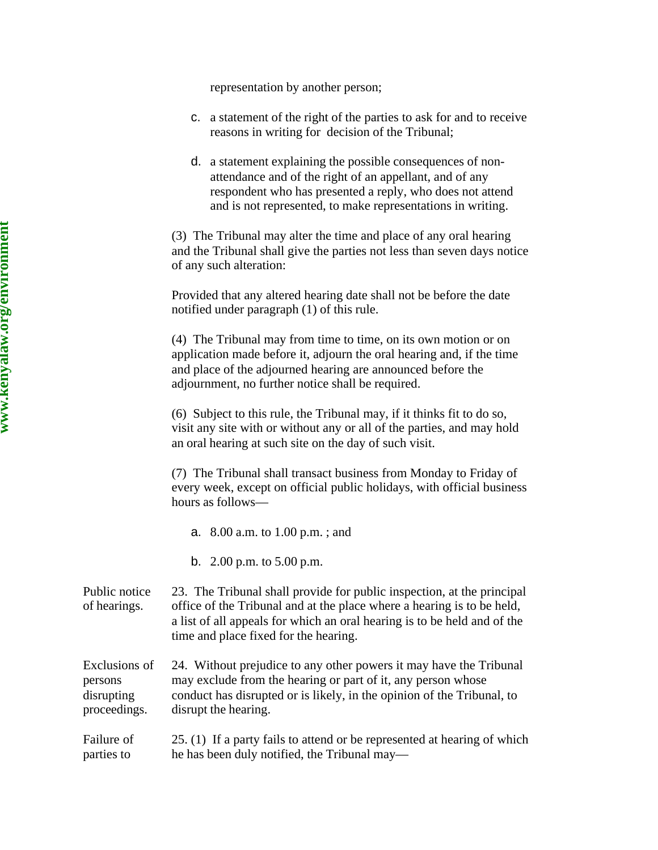representation by another person;

- c. a statement of the right of the parties to ask for and to receive reasons in writing for decision of the Tribunal;
- d. a statement explaining the possible consequences of nonattendance and of the right of an appellant, and of any respondent who has presented a reply, who does not attend and is not represented, to make representations in writing.

(3) The Tribunal may alter the time and place of any oral hearing and the Tribunal shall give the parties not less than seven days notice of any such alteration:

Provided that any altered hearing date shall not be before the date notified under paragraph (1) of this rule.

(4) The Tribunal may from time to time, on its own motion or on application made before it, adjourn the oral hearing and, if the time and place of the adjourned hearing are announced before the adjournment, no further notice shall be required.

(6) Subject to this rule, the Tribunal may, if it thinks fit to do so, visit any site with or without any or all of the parties, and may hold an oral hearing at such site on the day of such visit.

(7) The Tribunal shall transact business from Monday to Friday of every week, except on official public holidays, with official business hours as follows—

- a. 8.00 a.m. to 1.00 p.m. ; and
- b. 2.00 p.m. to 5.00 p.m.
- Public notice of hearings. 23. The Tribunal shall provide for public inspection, at the principal office of the Tribunal and at the place where a hearing is to be held, a list of all appeals for which an oral hearing is to be held and of the time and place fixed for the hearing.

Exclusions of persons disrupting proceedings. 24. Without prejudice to any other powers it may have the Tribunal may exclude from the hearing or part of it, any person whose conduct has disrupted or is likely, in the opinion of the Tribunal, to disrupt the hearing.

Failure of parties to 25. (1) If a party fails to attend or be represented at hearing of which he has been duly notified, the Tribunal may—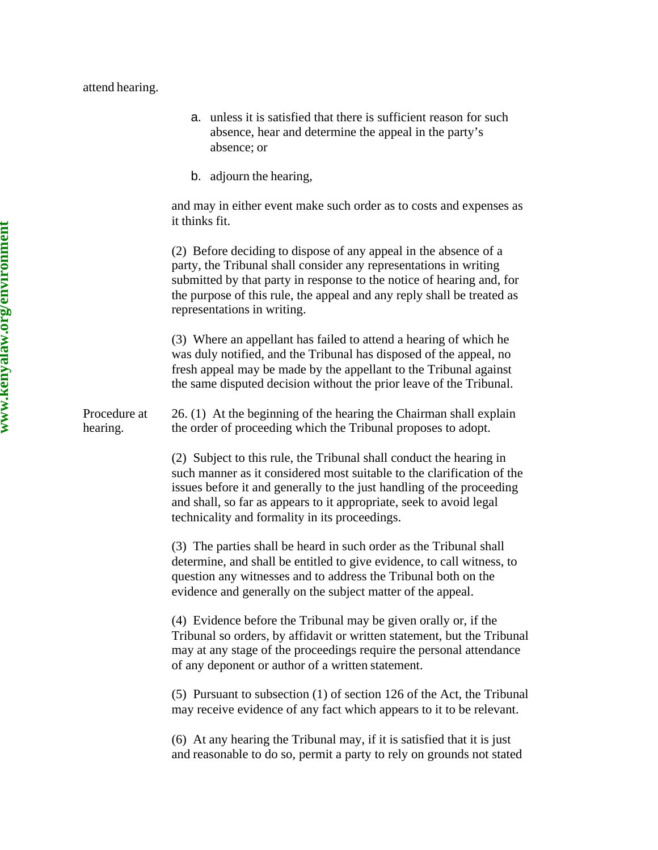#### attend hearing.

- a. unless it is satisfied that there is sufficient reason for such absence, hear and determine the appeal in the party's absence; or
- b. adjourn the hearing,

and may in either event make such order as to costs and expenses as it thinks fit.

(2) Before deciding to dispose of any appeal in the absence of a party, the Tribunal shall consider any representations in writing submitted by that party in response to the notice of hearing and, for the purpose of this rule, the appeal and any reply shall be treated as representations in writing.

(3) Where an appellant has failed to attend a hearing of which he was duly notified, and the Tribunal has disposed of the appeal, no fresh appeal may be made by the appellant to the Tribunal against the same disputed decision without the prior leave of the Tribunal.

Procedure at hearing. 26. (1) At the beginning of the hearing the Chairman shall explain the order of proceeding which the Tribunal proposes to adopt.

> (2) Subject to this rule, the Tribunal shall conduct the hearing in such manner as it considered most suitable to the clarification of the issues before it and generally to the just handling of the proceeding and shall, so far as appears to it appropriate, seek to avoid legal technicality and formality in its proceedings.

(3) The parties shall be heard in such order as the Tribunal shall determine, and shall be entitled to give evidence, to call witness, to question any witnesses and to address the Tribunal both on the evidence and generally on the subject matter of the appeal.

(4) Evidence before the Tribunal may be given orally or, if the Tribunal so orders, by affidavit or written statement, but the Tribunal may at any stage of the proceedings require the personal attendance of any deponent or author of a written statement.

(5) Pursuant to subsection (1) of section 126 of the Act, the Tribunal may receive evidence of any fact which appears to it to be relevant.

(6) At any hearing the Tribunal may, if it is satisfied that it is just and reasonable to do so, permit a party to rely on grounds not stated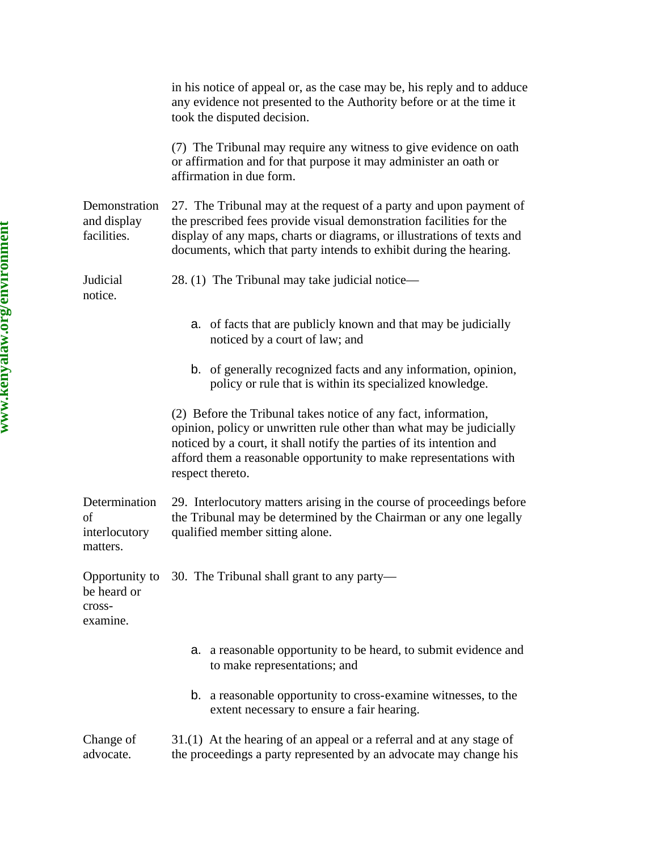|                                                  | in his notice of appeal or, as the case may be, his reply and to adduce<br>any evidence not presented to the Authority before or at the time it<br>took the disputed decision.                                                                                                                         |
|--------------------------------------------------|--------------------------------------------------------------------------------------------------------------------------------------------------------------------------------------------------------------------------------------------------------------------------------------------------------|
|                                                  | (7) The Tribunal may require any witness to give evidence on oath<br>or affirmation and for that purpose it may administer an oath or<br>affirmation in due form.                                                                                                                                      |
| Demonstration<br>and display<br>facilities.      | 27. The Tribunal may at the request of a party and upon payment of<br>the prescribed fees provide visual demonstration facilities for the<br>display of any maps, charts or diagrams, or illustrations of texts and<br>documents, which that party intends to exhibit during the hearing.              |
| Judicial<br>notice.                              | 28. (1) The Tribunal may take judicial notice—                                                                                                                                                                                                                                                         |
|                                                  | a. of facts that are publicly known and that may be judicially<br>noticed by a court of law; and                                                                                                                                                                                                       |
|                                                  | b. of generally recognized facts and any information, opinion,<br>policy or rule that is within its specialized knowledge.                                                                                                                                                                             |
|                                                  | (2) Before the Tribunal takes notice of any fact, information,<br>opinion, policy or unwritten rule other than what may be judicially<br>noticed by a court, it shall notify the parties of its intention and<br>afford them a reasonable opportunity to make representations with<br>respect thereto. |
| Determination<br>of<br>interlocutory<br>matters. | 29. Interlocutory matters arising in the course of proceedings before<br>the Tribunal may be determined by the Chairman or any one legally<br>qualified member sitting alone.                                                                                                                          |
| be heard or<br>cross-<br>examine.                | Opportunity to 30. The Tribunal shall grant to any party—                                                                                                                                                                                                                                              |
|                                                  | a. a reasonable opportunity to be heard, to submit evidence and<br>to make representations; and                                                                                                                                                                                                        |
|                                                  | <b>b.</b> a reasonable opportunity to cross-examine witnesses, to the<br>extent necessary to ensure a fair hearing.                                                                                                                                                                                    |
| Change of<br>advocate.                           | 31.(1) At the hearing of an appeal or a referral and at any stage of<br>the proceedings a party represented by an advocate may change his                                                                                                                                                              |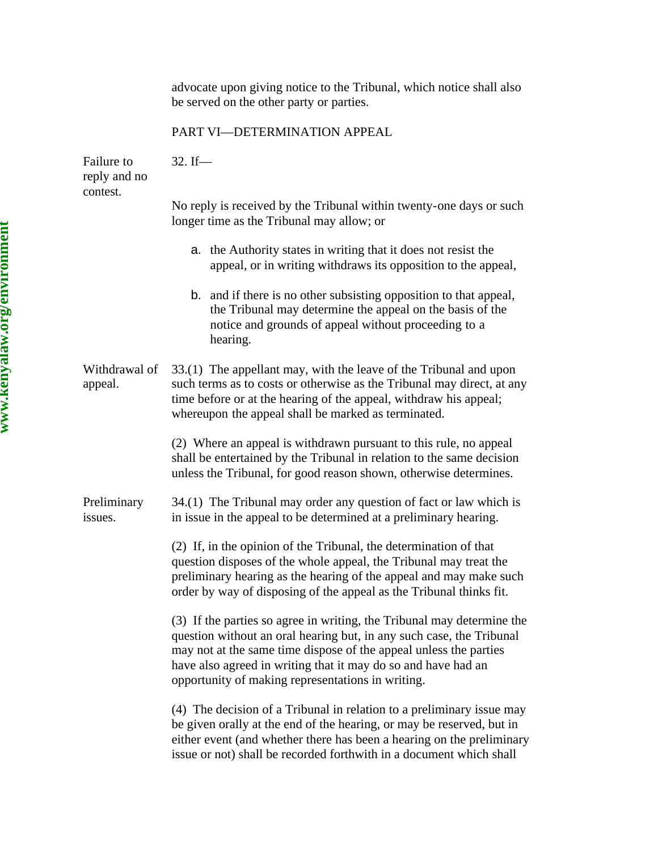advocate upon giving notice to the Tribunal, which notice shall also be served on the other party or parties. PART VI—DETERMINATION APPEAL Failure to reply and no contest. 32. If— No reply is received by the Tribunal within twenty-one days or such longer time as the Tribunal may allow; or a. the Authority states in writing that it does not resist the appeal, or in writing withdraws its opposition to the appeal, b. and if there is no other subsisting opposition to that appeal, the Tribunal may determine the appeal on the basis of the notice and grounds of appeal without proceeding to a hearing. Withdrawal of appeal. 33.(1) The appellant may, with the leave of the Tribunal and upon such terms as to costs or otherwise as the Tribunal may direct, at any time before or at the hearing of the appeal, withdraw his appeal; whereupon the appeal shall be marked as terminated. (2) Where an appeal is withdrawn pursuant to this rule, no appeal shall be entertained by the Tribunal in relation to the same decision unless the Tribunal, for good reason shown, otherwise determines. Preliminary issues. 34.(1) The Tribunal may order any question of fact or law which is in issue in the appeal to be determined at a preliminary hearing. (2) If, in the opinion of the Tribunal, the determination of that question disposes of the whole appeal, the Tribunal may treat the preliminary hearing as the hearing of the appeal and may make such order by way of disposing of the appeal as the Tribunal thinks fit. (3) If the parties so agree in writing, the Tribunal may determine the question without an oral hearing but, in any such case, the Tribunal may not at the same time dispose of the appeal unless the parties have also agreed in writing that it may do so and have had an opportunity of making representations in writing. (4) The decision of a Tribunal in relation to a preliminary issue may be given orally at the end of the hearing, or may be reserved, but in either event (and whether there has been a hearing on the preliminary issue or not) shall be recorded forthwith in a document which shall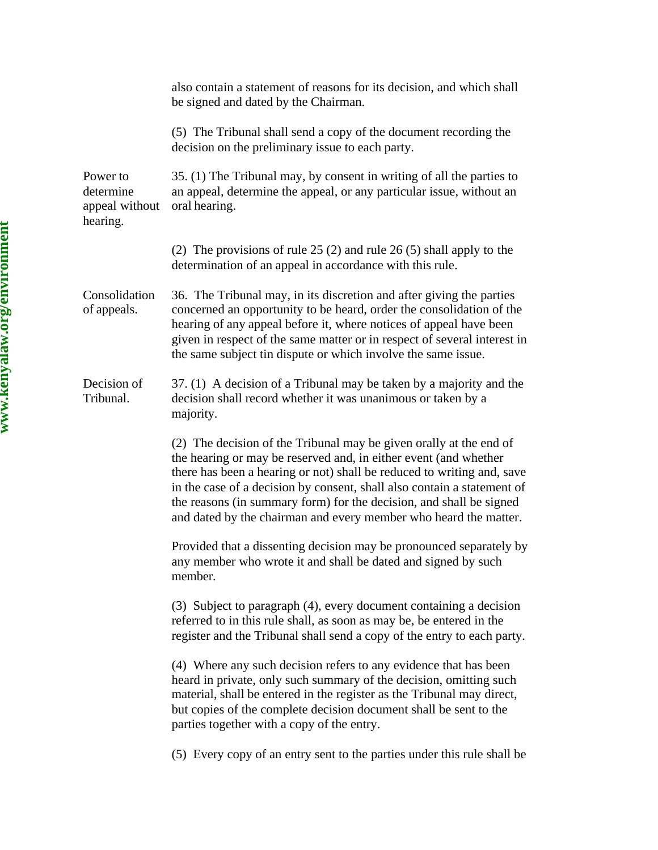|                                                     | also contain a statement of reasons for its decision, and which shall<br>be signed and dated by the Chairman.                                                                                                                                                                                                                                                                                                                          |
|-----------------------------------------------------|----------------------------------------------------------------------------------------------------------------------------------------------------------------------------------------------------------------------------------------------------------------------------------------------------------------------------------------------------------------------------------------------------------------------------------------|
|                                                     | (5) The Tribunal shall send a copy of the document recording the<br>decision on the preliminary issue to each party.                                                                                                                                                                                                                                                                                                                   |
| Power to<br>determine<br>appeal without<br>hearing. | 35. (1) The Tribunal may, by consent in writing of all the parties to<br>an appeal, determine the appeal, or any particular issue, without an<br>oral hearing.                                                                                                                                                                                                                                                                         |
|                                                     | (2) The provisions of rule $25(2)$ and rule $26(5)$ shall apply to the<br>determination of an appeal in accordance with this rule.                                                                                                                                                                                                                                                                                                     |
| Consolidation<br>of appeals.                        | 36. The Tribunal may, in its discretion and after giving the parties<br>concerned an opportunity to be heard, order the consolidation of the<br>hearing of any appeal before it, where notices of appeal have been<br>given in respect of the same matter or in respect of several interest in<br>the same subject tin dispute or which involve the same issue.                                                                        |
| Decision of<br>Tribunal.                            | 37. (1) A decision of a Tribunal may be taken by a majority and the<br>decision shall record whether it was unanimous or taken by a<br>majority.                                                                                                                                                                                                                                                                                       |
|                                                     | (2) The decision of the Tribunal may be given orally at the end of<br>the hearing or may be reserved and, in either event (and whether<br>there has been a hearing or not) shall be reduced to writing and, save<br>in the case of a decision by consent, shall also contain a statement of<br>the reasons (in summary form) for the decision, and shall be signed<br>and dated by the chairman and every member who heard the matter. |
|                                                     | Provided that a dissenting decision may be pronounced separately by<br>any member who wrote it and shall be dated and signed by such<br>member.                                                                                                                                                                                                                                                                                        |
|                                                     | (3) Subject to paragraph (4), every document containing a decision<br>referred to in this rule shall, as soon as may be, be entered in the<br>register and the Tribunal shall send a copy of the entry to each party.                                                                                                                                                                                                                  |
|                                                     | (4) Where any such decision refers to any evidence that has been<br>heard in private, only such summary of the decision, omitting such<br>material, shall be entered in the register as the Tribunal may direct,<br>but copies of the complete decision document shall be sent to the<br>parties together with a copy of the entry.                                                                                                    |
|                                                     | (5) Every copy of an entry sent to the parties under this rule shall be                                                                                                                                                                                                                                                                                                                                                                |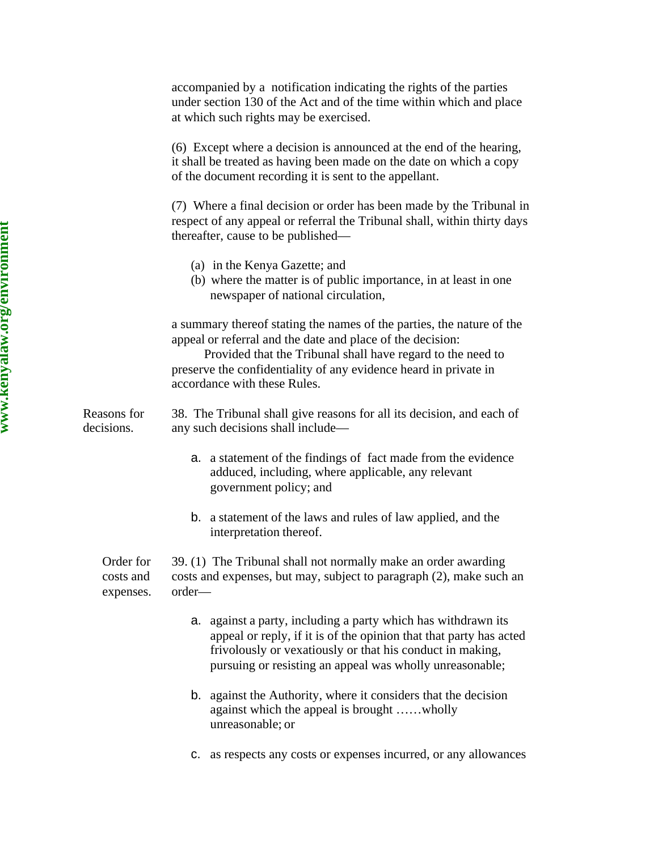accompanied by a notification indicating the rights of the parties under section 130 of the Act and of the time within which and place at which such rights may be exercised.

(6) Except where a decision is announced at the end of the hearing, it shall be treated as having been made on the date on which a copy of the document recording it is sent to the appellant.

(7) Where a final decision or order has been made by the Tribunal in respect of any appeal or referral the Tribunal shall, within thirty days thereafter, cause to be published—

- (a) in the Kenya Gazette; and
- (b) where the matter is of public importance, in at least in one newspaper of national circulation,

a summary thereof stating the names of the parties, the nature of the appeal or referral and the date and place of the decision:

 Provided that the Tribunal shall have regard to the need to preserve the confidentiality of any evidence heard in private in accordance with these Rules.

Reasons for decisions. 38. The Tribunal shall give reasons for all its decision, and each of any such decisions shall include—

- a. a statement of the findings of fact made from the evidence adduced, including, where applicable, any relevant government policy; and
- b. a statement of the laws and rules of law applied, and the interpretation thereof.

Order for costs and expenses. 39. (1) The Tribunal shall not normally make an order awarding costs and expenses, but may, subject to paragraph (2), make such an order—

- a. against a party, including a party which has withdrawn its appeal or reply, if it is of the opinion that that party has acted frivolously or vexatiously or that his conduct in making, pursuing or resisting an appeal was wholly unreasonable;
- b. against the Authority, where it considers that the decision against which the appeal is brought ……wholly unreasonable; or
- c. as respects any costs or expenses incurred, or any allowances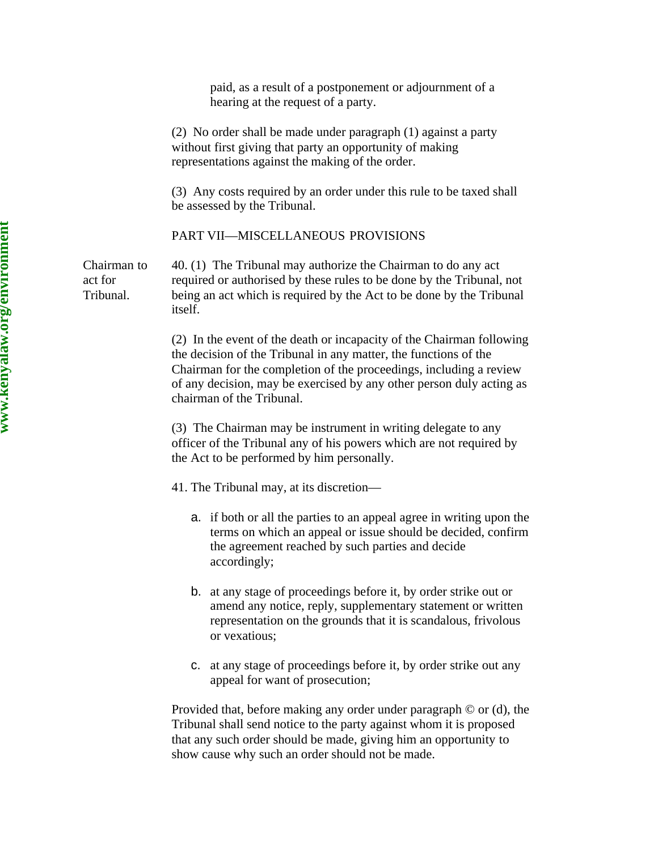|                                     | (2) No order shall be made under paragraph (1) against a party<br>without first giving that party an opportunity of making<br>representations against the making of the order.                                                                                                                                       |
|-------------------------------------|----------------------------------------------------------------------------------------------------------------------------------------------------------------------------------------------------------------------------------------------------------------------------------------------------------------------|
|                                     | (3) Any costs required by an order under this rule to be taxed shall<br>be assessed by the Tribunal.                                                                                                                                                                                                                 |
|                                     | PART VII-MISCELLANEOUS PROVISIONS                                                                                                                                                                                                                                                                                    |
| Chairman to<br>act for<br>Tribunal. | 40. (1) The Tribunal may authorize the Chairman to do any act<br>required or authorised by these rules to be done by the Tribunal, not<br>being an act which is required by the Act to be done by the Tribunal<br>itself.                                                                                            |
|                                     | (2) In the event of the death or incapacity of the Chairman following<br>the decision of the Tribunal in any matter, the functions of the<br>Chairman for the completion of the proceedings, including a review<br>of any decision, may be exercised by any other person duly acting as<br>chairman of the Tribunal. |
|                                     | (3) The Chairman may be instrument in writing delegate to any<br>officer of the Tribunal any of his powers which are not required by<br>the Act to be performed by him personally.                                                                                                                                   |
|                                     | 41. The Tribunal may, at its discretion—                                                                                                                                                                                                                                                                             |
|                                     | a. if both or all the parties to an appeal agree in writing upon the<br>terms on which an appeal or issue should be decided, confirm<br>the agreement reached by such parties and decide<br>accordingly;                                                                                                             |
|                                     | b. at any stage of proceedings before it, by order strike out or<br>amend any notice, reply, supplementary statement or written<br>representation on the grounds that it is scandalous, frivolous<br>or vexatious;                                                                                                   |
|                                     | c. at any stage of proceedings before it, by order strike out any<br>appeal for want of prosecution;                                                                                                                                                                                                                 |
|                                     | Provided that, before making any order under paragraph $\odot$ or (d), the<br>Tribunal shall send notice to the party against whom it is proposed<br>that any such order should be made, giving him an opportunity to<br>show cause why such an order should not be made.                                            |

paid, as a result of a postponement or adjournment of a

hearing at the request of a party.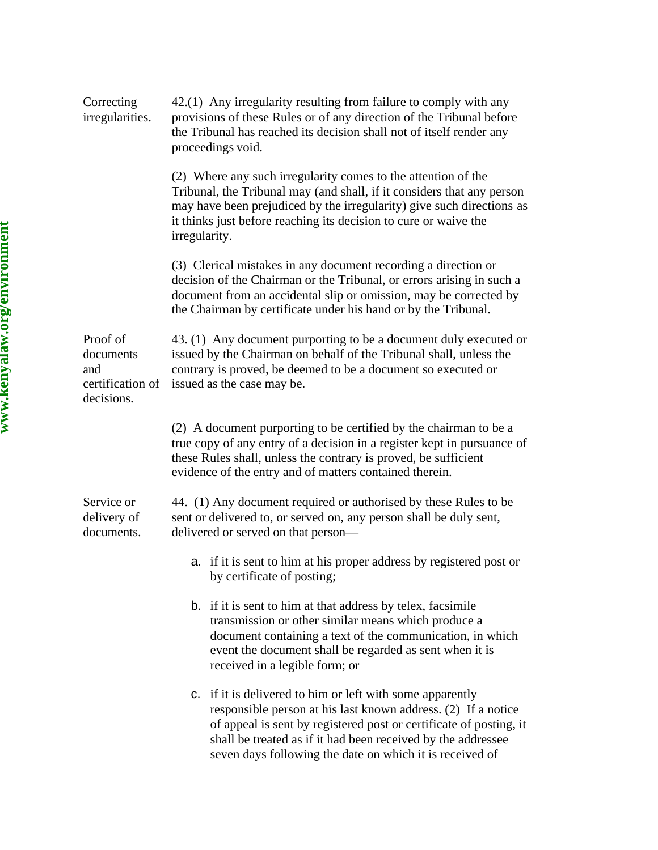| Correcting<br>irregularities.                                  | 42.(1) Any irregularity resulting from failure to comply with any<br>provisions of these Rules or of any direction of the Tribunal before<br>the Tribunal has reached its decision shall not of itself render any<br>proceedings void.                                                                                       |
|----------------------------------------------------------------|------------------------------------------------------------------------------------------------------------------------------------------------------------------------------------------------------------------------------------------------------------------------------------------------------------------------------|
|                                                                | (2) Where any such irregularity comes to the attention of the<br>Tribunal, the Tribunal may (and shall, if it considers that any person<br>may have been prejudiced by the irregularity) give such directions as<br>it thinks just before reaching its decision to cure or waive the<br>irregularity.                        |
|                                                                | (3) Clerical mistakes in any document recording a direction or<br>decision of the Chairman or the Tribunal, or errors arising in such a<br>document from an accidental slip or omission, may be corrected by<br>the Chairman by certificate under his hand or by the Tribunal.                                               |
| Proof of<br>documents<br>and<br>certification of<br>decisions. | 43. (1) Any document purporting to be a document duly executed or<br>issued by the Chairman on behalf of the Tribunal shall, unless the<br>contrary is proved, be deemed to be a document so executed or<br>issued as the case may be.                                                                                       |
|                                                                | (2) A document purporting to be certified by the chairman to be a<br>true copy of any entry of a decision in a register kept in pursuance of<br>these Rules shall, unless the contrary is proved, be sufficient<br>evidence of the entry and of matters contained therein.                                                   |
| Service or<br>delivery of<br>documents.                        | 44. (1) Any document required or authorised by these Rules to be<br>sent or delivered to, or served on, any person shall be duly sent,<br>delivered or served on that person—                                                                                                                                                |
|                                                                | a. if it is sent to him at his proper address by registered post or<br>by certificate of posting;                                                                                                                                                                                                                            |
|                                                                | b. if it is sent to him at that address by telex, facsimile<br>transmission or other similar means which produce a<br>document containing a text of the communication, in which<br>event the document shall be regarded as sent when it is<br>received in a legible form; or                                                 |
|                                                                | c. if it is delivered to him or left with some apparently<br>responsible person at his last known address. (2) If a notice<br>of appeal is sent by registered post or certificate of posting, it<br>shall be treated as if it had been received by the addressee<br>seven days following the date on which it is received of |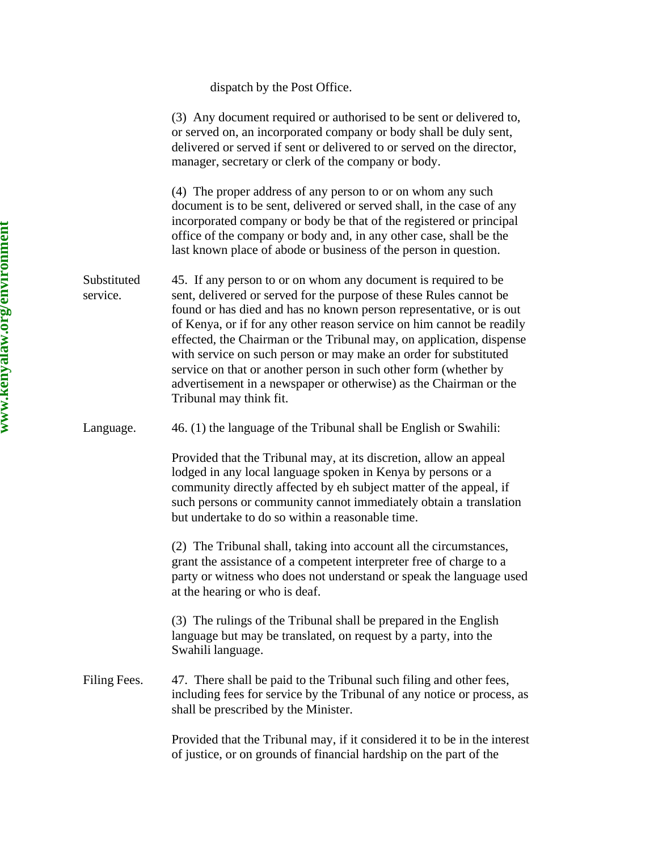dispatch by the Post Office.

(3) Any document required or authorised to be sent or delivered to, or served on, an incorporated company or body shall be duly sent, delivered or served if sent or delivered to or served on the director, manager, secretary or clerk of the company or body. (4) The proper address of any person to or on whom any such document is to be sent, delivered or served shall, in the case of any incorporated company or body be that of the registered or principal office of the company or body and, in any other case, shall be the last known place of abode or business of the person in question. Substituted service. 45. If any person to or on whom any document is required to be sent, delivered or served for the purpose of these Rules cannot be found or has died and has no known person representative, or is out of Kenya, or if for any other reason service on him cannot be readily effected, the Chairman or the Tribunal may, on application, dispense with service on such person or may make an order for substituted service on that or another person in such other form (whether by advertisement in a newspaper or otherwise) as the Chairman or the Tribunal may think fit. Language. 46. (1) the language of the Tribunal shall be English or Swahili: Provided that the Tribunal may, at its discretion, allow an appeal lodged in any local language spoken in Kenya by persons or a community directly affected by eh subject matter of the appeal, if such persons or community cannot immediately obtain a translation but undertake to do so within a reasonable time. (2) The Tribunal shall, taking into account all the circumstances, grant the assistance of a competent interpreter free of charge to a party or witness who does not understand or speak the language used at the hearing or who is deaf. (3) The rulings of the Tribunal shall be prepared in the English language but may be translated, on request by a party, into the Swahili language. Filing Fees. 47. There shall be paid to the Tribunal such filing and other fees, including fees for service by the Tribunal of any notice or process, as shall be prescribed by the Minister. Provided that the Tribunal may, if it considered it to be in the interest

of justice, or on grounds of financial hardship on the part of the